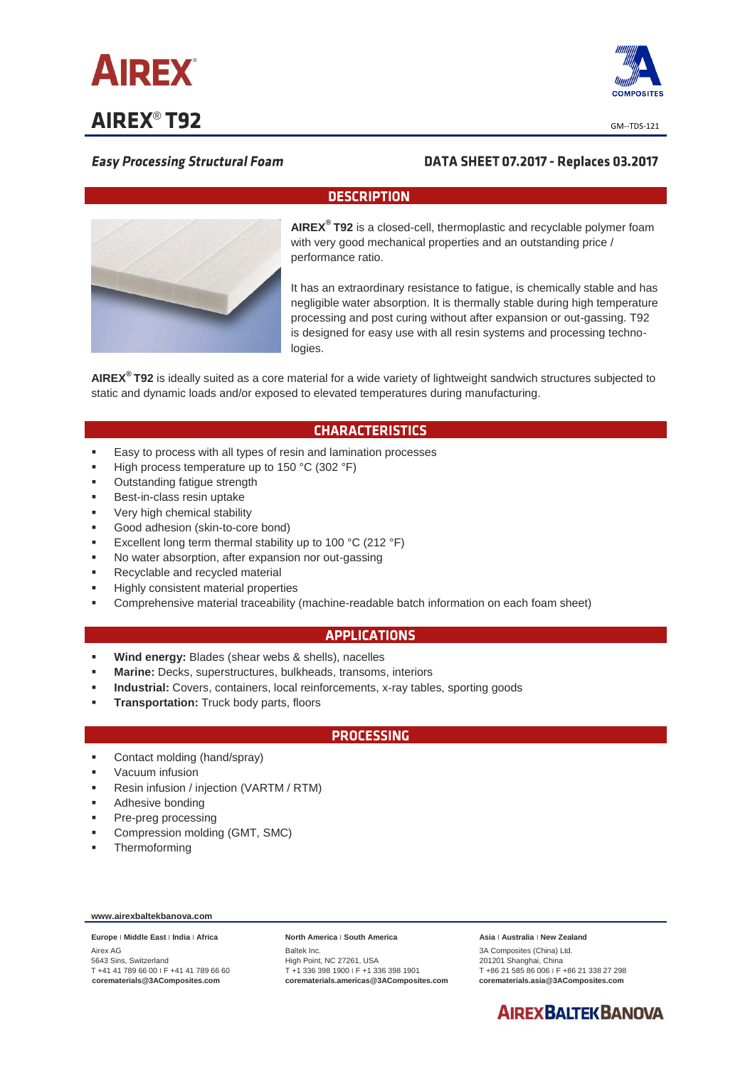

**AIREX<sup>®</sup> T92** 



# **Easy Processing Structural Foam**

# DATA SHEET 07.2017 - Replaces 03.2017

## **DESCRIPTION**



**AIREX® T92** is a closed-cell, thermoplastic and recyclable polymer foam with very good mechanical properties and an outstanding price / performance ratio.

It has an extraordinary resistance to fatigue, is chemically stable and has negligible water absorption. It is thermally stable during high temperature processing and post curing without after expansion or out-gassing. T92 is designed for easy use with all resin systems and processing technologies.

**AIREX® T92** is ideally suited as a core material for a wide variety of lightweight sandwich structures subjected to static and dynamic loads and/or exposed to elevated temperatures during manufacturing.

## **CHARACTERISTICS**

- **Easy to process with all types of resin and lamination processes**
- High process temperature up to 150 °C (302 °F)
- Outstanding fatigue strength
- Best-in-class resin uptake
- Very high chemical stability
- Good adhesion (skin-to-core bond)
- Excellent long term thermal stability up to 100 °C (212 °F)
- No water absorption, after expansion nor out-gassing
- Recyclable and recycled material
- Highly consistent material properties
- Comprehensive material traceability (machine-readable batch information on each foam sheet)

#### **APPLICATIONS**

- **Wind energy:** Blades (shear webs & shells), nacelles
- **Marine:** Decks, superstructures, bulkheads, transoms, interiors
- **Industrial:** Covers, containers, local reinforcements, x-ray tables, sporting goods
- **Transportation:** Truck body parts, floors

#### **PROCESSING**

- Contact molding (hand/spray)
- Vacuum infusion
- Resin infusion / injection (VARTM / RTM)
- Adhesive bonding
- Pre-preg processing
- Compression molding (GMT, SMC)
- Thermoforming

#### **www.airexbaltekbanova.com**

**Europe** ׀ **Middle East** ׀ **India** ׀ **Africa** Airex AG 5643 Sins, Switzerland T +41 41 789 66 00 ׀ F +41 41 789 66 60 **corematerials@3AComposites.com**

#### **North America** ׀ **South America**

Baltek Inc. High Point, NC 27261, USA T +1 336 398 1900 ׀ F +1 336 398 1901 **corematerials.americas@3AComposites.com** **Asia** ׀ **Australia** ׀ **New Zealand** 3A Composites (China) Ltd. 201201 Shanghai, China T +86 21 585 86 006 ׀ F +86 21 338 27 298 **corematerials.asia@3AComposites.com**

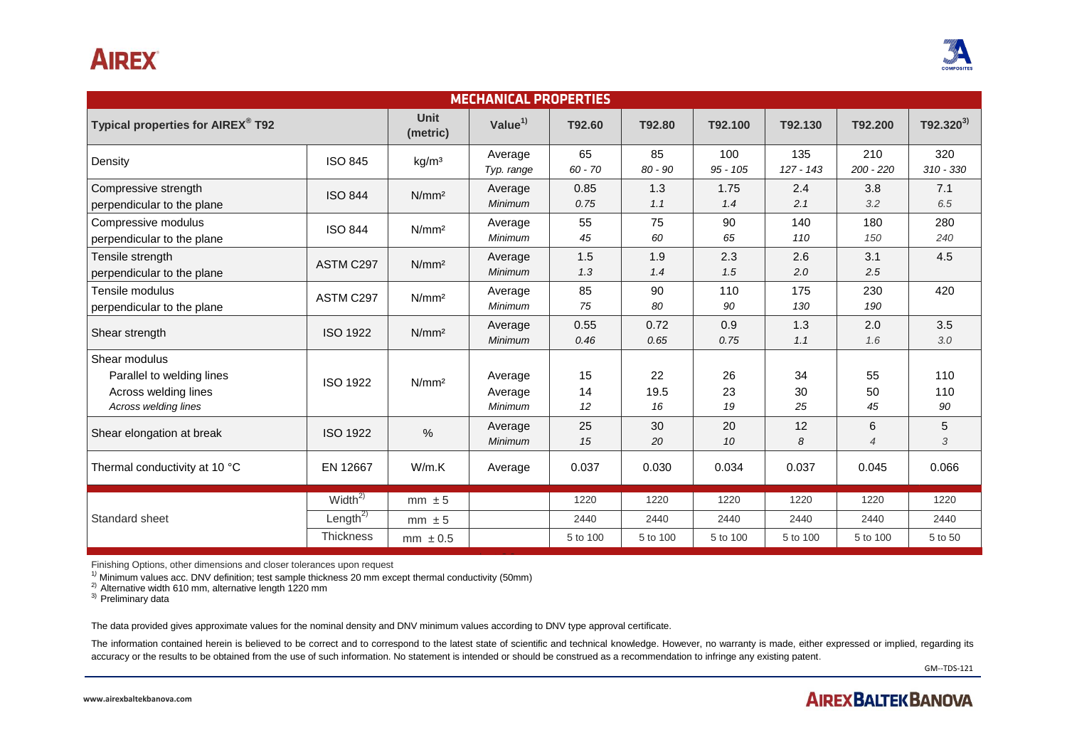# **AIREX**



| <b>MECHANICAL PROPERTIES</b>                                                               |                      |                   |                               |                 |                  |                   |                    |                     |                    |
|--------------------------------------------------------------------------------------------|----------------------|-------------------|-------------------------------|-----------------|------------------|-------------------|--------------------|---------------------|--------------------|
| Typical properties for AIREX® T92                                                          |                      | Unit<br>(metric)  | Value $1$                     | T92.60          | T92.80           | T92.100           | T92.130            | T92.200             | $T92.320^{3}$      |
| Density                                                                                    | <b>ISO 845</b>       | kg/m <sup>3</sup> | Average<br>Typ. range         | 65<br>$60 - 70$ | 85<br>$80 - 90$  | 100<br>$95 - 105$ | 135<br>$127 - 143$ | 210<br>$200 - 220$  | 320<br>$310 - 330$ |
| Compressive strength<br>perpendicular to the plane                                         | <b>ISO 844</b>       | N/mm <sup>2</sup> | Average<br><b>Minimum</b>     | 0.85<br>0.75    | 1.3<br>1.1       | 1.75<br>1.4       | 2.4<br>2.1         | 3.8<br>3.2          | 7.1<br>6.5         |
| Compressive modulus<br>perpendicular to the plane                                          | <b>ISO 844</b>       | N/mm <sup>2</sup> | Average<br>Minimum            | 55<br>45        | 75<br>60         | 90<br>65          | 140<br>110         | 180<br>150          | 280<br>240         |
| Tensile strength<br>perpendicular to the plane                                             | ASTM C297            | N/mm <sup>2</sup> | Average<br><b>Minimum</b>     | 1.5<br>1.3      | 1.9<br>1.4       | 2.3<br>1.5        | 2.6<br>2.0         | 3.1<br>2.5          | 4.5                |
| Tensile modulus<br>perpendicular to the plane                                              | ASTM C297            | N/mm <sup>2</sup> | Average<br>Minimum            | 85<br>75        | 90<br>80         | 110<br>90         | 175<br>130         | 230<br>190          | 420                |
| Shear strength                                                                             | <b>ISO 1922</b>      | N/mm <sup>2</sup> | Average<br>Minimum            | 0.55<br>0.46    | 0.72<br>0.65     | 0.9<br>0.75       | 1.3<br>1.1         | 2.0<br>1.6          | 3.5<br>3.0         |
| Shear modulus<br>Parallel to welding lines<br>Across welding lines<br>Across welding lines | <b>ISO 1922</b>      | N/mm <sup>2</sup> | Average<br>Average<br>Minimum | 15<br>14<br>12  | 22<br>19.5<br>16 | 26<br>23<br>19    | 34<br>30<br>25     | 55<br>50<br>45      | 110<br>110<br>90   |
| Shear elongation at break                                                                  | <b>ISO 1922</b>      | $\%$              | Average<br>Minimum            | 25<br>15        | 30<br>20         | 20<br>10          | 12<br>8            | 6<br>$\overline{4}$ | 5<br>3             |
| Thermal conductivity at 10 °C                                                              | EN 12667             | W/m.K             | Average                       | 0.037           | 0.030            | 0.034             | 0.037              | 0.045               | 0.066              |
| Standard sheet                                                                             | Width $\sqrt{2)}$    | $mm \pm 5$        |                               | 1220            | 1220             | 1220              | 1220               | 1220                | 1220               |
|                                                                                            | Length <sup>2)</sup> | $mm \pm 5$        |                               | 2440            | 2440             | 2440              | 2440               | 2440                | 2440               |
|                                                                                            | Thickness            | $mm \pm 0.5$      |                               | 5 to 100        | 5 to 100         | 5 to 100          | 5 to 100           | 5 to 100            | 5 to 50            |

Finishing Options, other dimensions and closer tolerances upon request

<sup>1</sup>*)* Minimum values acc. DNV definition; test sample thickness 20 mm except thermal conductivity (50mm)

 $^{2)}$  Alternative width 610 mm, alternative length 1220 mm

<sup>3)</sup> Preliminary data

The data provided gives approximate values for the nominal density and DNV minimum values according to DNV type approval certificate.

The information contained herein is believed to be correct and to correspond to the latest state of scientific and technical knowledge. However, no warranty is made, either expressed or implied, regarding its accuracy or the results to be obtained from the use of such information. No statement is intended or should be construed as a recommendation to infringe any existing patent.

GM--TDS-121